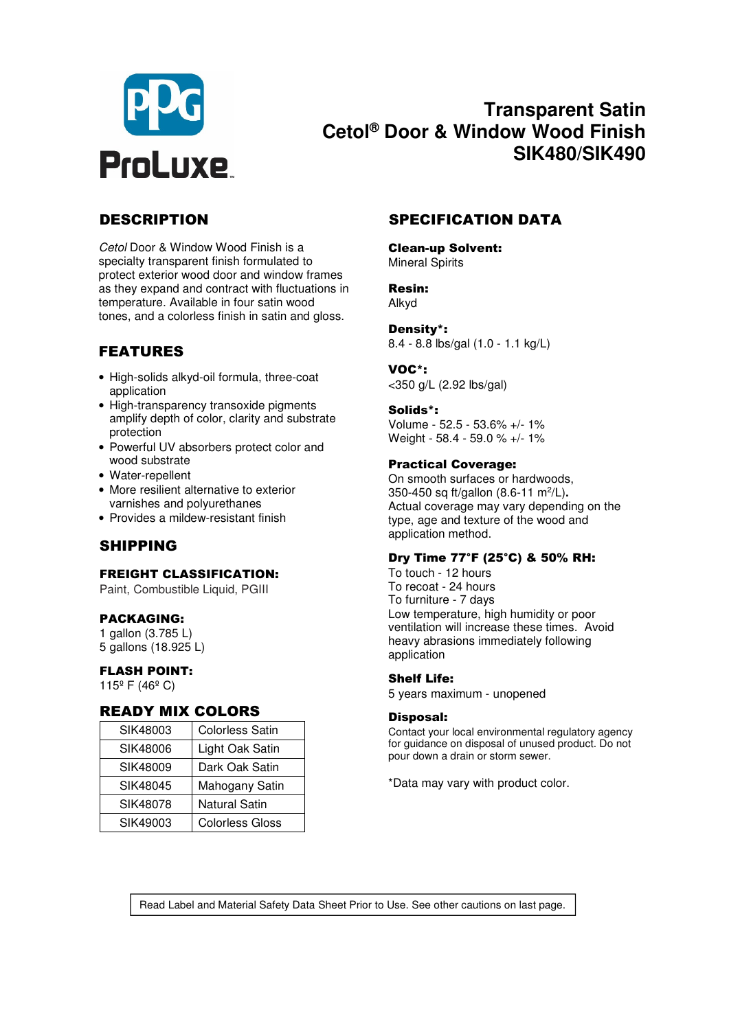

# **Transparent Satin Cetol® Door & Window Wood Finish SIK480/SIK490**

*Cetol* Door & Window Wood Finish is a specialty transparent finish formulated to protect exterior wood door and window frames as they expand and contract with fluctuations in temperature. Available in four satin wood tones, and a colorless finish in satin and gloss.

# FEATURES

- High-solids alkyd-oil formula, three-coat application
- High-transparency transoxide pigments amplify depth of color, clarity and substrate protection
- Powerful UV absorbers protect color and wood substrate
- Water-repellent
- More resilient alternative to exterior varnishes and polyurethanes
- Provides a mildew-resistant finish

# SHIPPING

#### FREIGHT CLASSIFICATION:

Paint, Combustible Liquid, PGIII

#### PACKAGING:

1 gallon (3.785 L) 5 gallons (18.925 L)

#### FLASH POINT:

115º F (46º C)

#### READY MIX COLORS

| SIK48003 | <b>Colorless Satin</b> |
|----------|------------------------|
| SIK48006 | Light Oak Satin        |
| SIK48009 | Dark Oak Satin         |
| SIK48045 | Mahogany Satin         |
| SIK48078 | Natural Satin          |
| SIK49003 | <b>Colorless Gloss</b> |

## DESCRIPTION SPECIFICATION DATA

Clean-up Solvent: Mineral Spirits

#### Resin: Alkyd

Density\*: 8.4 - 8.8 lbs/gal (1.0 - 1.1 kg/L)

#### VOC\*:

<350 g/L (2.92 lbs/gal)

#### Solids\*:

Volume - 52.5 - 53.6% +/- 1% Weight - 58.4 - 59.0 % +/- 1%

#### Practical Coverage:

On smooth surfaces or hardwoods, 350-450 sq ft/gallon (8.6-11 m<sup>2</sup>/L). Actual coverage may vary depending on the type, age and texture of the wood and application method.

#### Dry Time 77°F (25°C) & 50% RH:

To touch - 12 hours To recoat - 24 hours To furniture - 7 days Low temperature, high humidity or poor ventilation will increase these times. Avoid heavy abrasions immediately following application

#### Shelf Life:

5 years maximum - unopened

#### Disposal:

Contact your local environmental regulatory agency for guidance on disposal of unused product. Do not pour down a drain or storm sewer.

\*Data may vary with product color.

Read Label and Material Safety Data Sheet Prior to Use. See other cautions on last page.